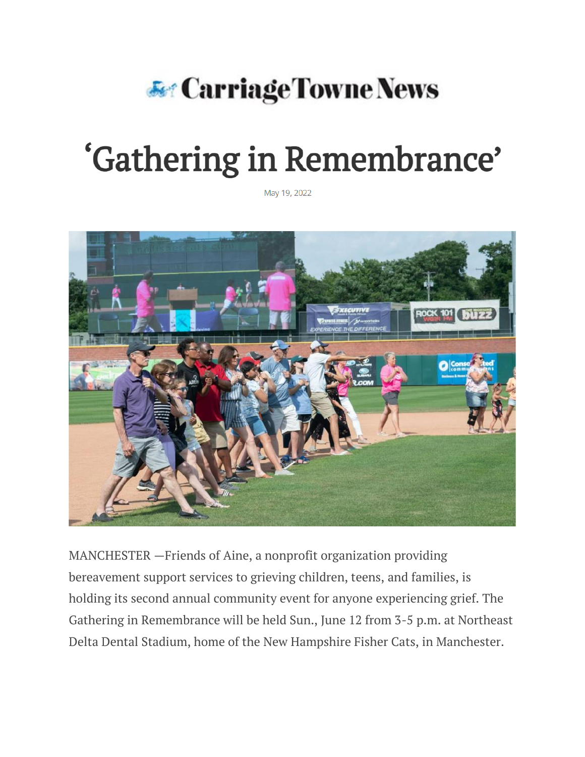## **E** Carriage Towne News

## 'Gathering in Remembrance'

May 19, 2022



MANCHESTER —Friends of Aine, a nonprofit organization providing bereavement support services to grieving children, teens, and families, is holding its second annual community event for anyone experiencing grief. The Gathering in Remembrance will be held Sun., June 12 from 3-5 p.m. at Northeast Delta Dental Stadium, home of the New Hampshire Fisher Cats, in Manchester.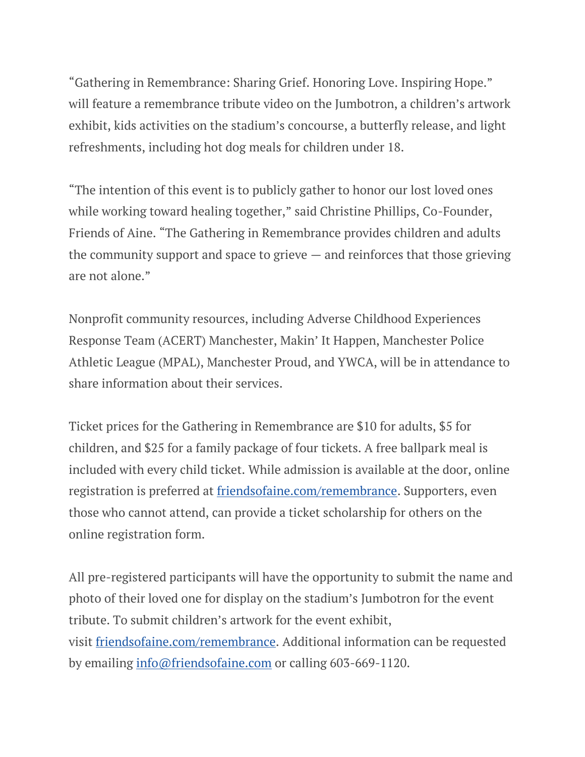"Gathering in Remembrance: Sharing Grief. Honoring Love. Inspiring Hope." will feature a remembrance tribute video on the Jumbotron, a children's artwork exhibit, kids activities on the stadium's concourse, a butterfly release, and light refreshments, including hot dog meals for children under 18.

"The intention of this event is to publicly gather to honor our lost loved ones while working toward healing together," said Christine Phillips, Co-Founder, Friends of Aine. "The Gathering in Remembrance provides children and adults the community support and space to grieve — and reinforces that those grieving are not alone."

Nonprofit community resources, including Adverse Childhood Experiences Response Team (ACERT) Manchester, Makin' It Happen, Manchester Police Athletic League (MPAL), Manchester Proud, and YWCA, will be in attendance to share information about their services.

Ticket prices for the Gathering in Remembrance are \$10 for adults, \$5 for children, and \$25 for a family package of four tickets. A free ballpark meal is included with every child ticket. While admission is available at the door, online registration is preferred at [friendsofaine.com/remembrance.](http://friendsofaine.com/remembrance) Supporters, even those who cannot attend, can provide a ticket scholarship for others on the online registration form.

All pre-registered participants will have the opportunity to submit the name and photo of their loved one for display on the stadium's Jumbotron for the event tribute. To submit children's artwork for the event exhibit, visit [friendsofaine.com/remembrance.](http://friendsofaine.com/remembrance) Additional information can be requested by emailing [info@friendsofaine.com](mailto:info@friendsofaine.com) or calling 603-669-1120.